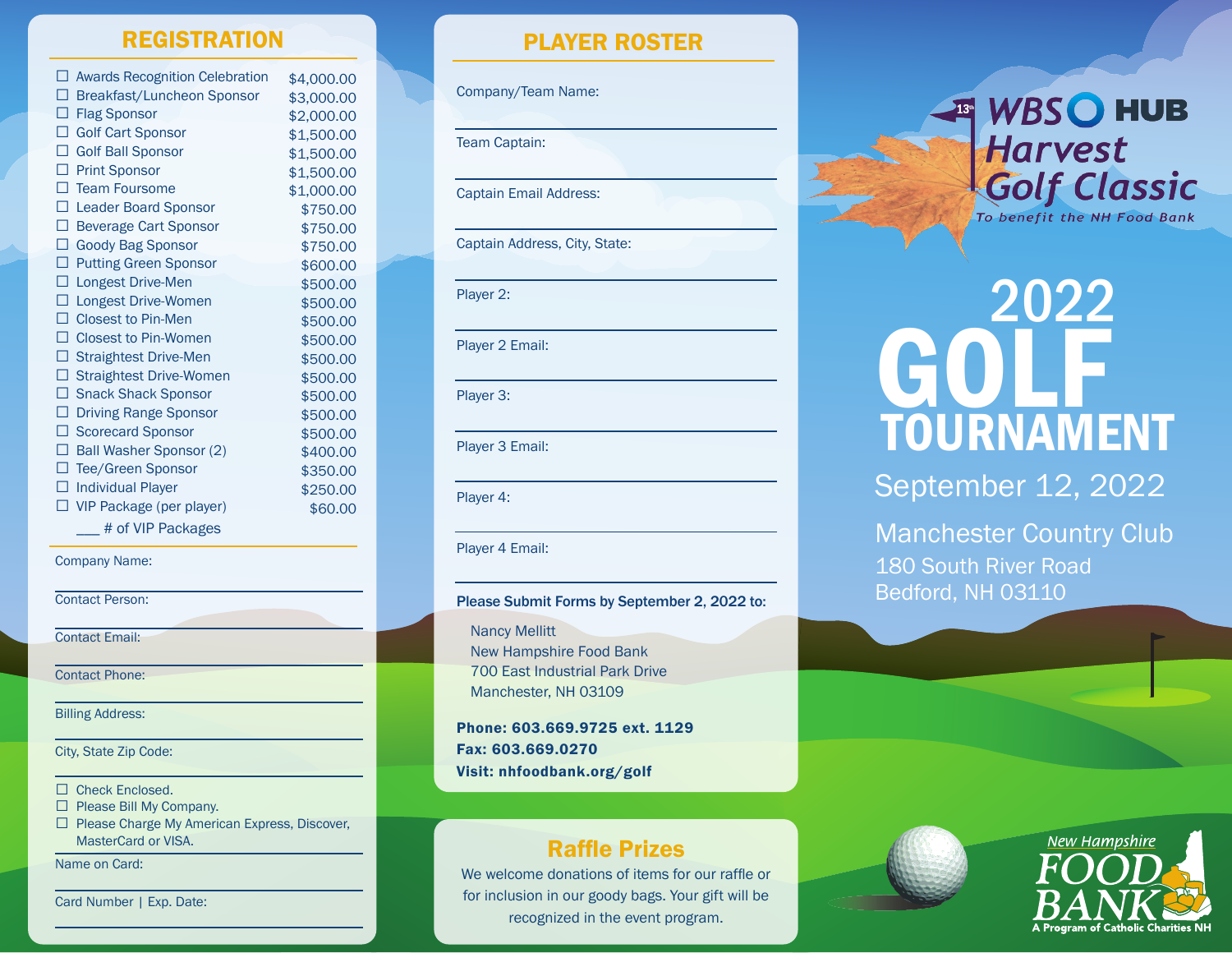### **REGISTRATION**

| П | <b>Awards Recognition Celebration</b> | \$4,000.00 |
|---|---------------------------------------|------------|
|   | Breakfast/Luncheon Sponsor            | \$3,000.00 |
|   | <b>Flag Sponsor</b>                   | \$2,000.00 |
|   | <b>Golf Cart Sponsor</b>              | \$1,500.00 |
|   | <b>Golf Ball Sponsor</b>              | \$1,500.00 |
|   | <b>Print Sponsor</b>                  | \$1,500.00 |
|   | <b>Team Foursome</b>                  | \$1,000.00 |
|   | <b>Leader Board Sponsor</b>           | \$750.00   |
|   | <b>Beverage Cart Sponsor</b>          | \$750.00   |
|   | <b>Goody Bag Sponsor</b>              | \$750.00   |
|   | <b>Putting Green Sponsor</b>          | \$600.00   |
|   | Longest Drive-Men                     | \$500.00   |
|   | Longest Drive-Women                   | \$500.00   |
|   | <b>Closest to Pin-Men</b>             | \$500.00   |
|   | <b>Closest to Pin-Women</b>           | \$500.00   |
|   | <b>Straightest Drive-Men</b>          | \$500.00   |
|   | <b>Straightest Drive-Women</b>        | \$500.00   |
|   | <b>Snack Shack Sponsor</b>            | \$500.00   |
|   | <b>Driving Range Sponsor</b>          | \$500.00   |
|   | <b>Scorecard Sponsor</b>              | \$500.00   |
|   | Ball Washer Sponsor (2)               | \$400.00   |
|   | <b>Tee/Green Sponsor</b>              | \$350.00   |
|   | <b>Individual Player</b>              | \$250.00   |
|   | VIP Package (per player)              | \$60.00    |
|   | # of VIP Packages                     |            |

Company Name:

Contact Person:

Contact Email:

Contact Phone:

Billing Address:

City, State Zip Code:

□ Check Enclosed.

□ Please Bill My Company.

☐ Please Charge My American Express, Discover, MasterCard or VISA.

Name on Card:

Card Number | Exp. Date:

## PLAYER ROSTER

Company/Team Name:

Team Captain:

Captain Email Address:

Captain Address, City, State:

Player 2:

Player 2 Email:

Player 3:

Player 3 Email:

Player 4:

Player 4 Email:

#### Please Submit Forms by September 2, 2022 to:

Nancy Mellitt New Hampshire Food Bank 700 East Industrial Park Drive Manchester, NH 03109

Phone: 603.669.9725 ext. 1129 Fax: 603.669.0270 Visit: nhfoodbank.org/golf

# Raffle Prizes

We welcome donations of items for our raffle or for inclusion in our goody bags. Your gift will be recognized in the event program.



# 2022 GOL TOURNAMENT

# September 12, 2022

Manchester Country Club 180 South River Road Bedford, NH 03110